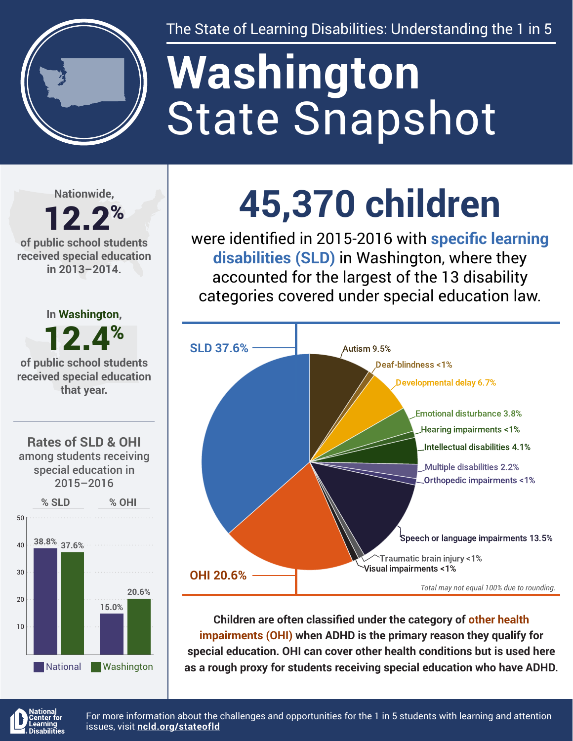

The State of Learning Disabilities: Understanding the 1 in 5

# State Snapshot **Washington**

**Nationwide,**

#### 12.2% **of public school students received special education in 2013–2014.**



**45,370 children**

were identified in 2015-2016 with **specific learning disabilities (SLD)** in Washington, where they accounted for the largest of the 13 disability categories covered under special education law.



**Children are often classified under the category of other health impairments (OHI) when ADHD is the primary reason they qualify for special education. OHI can cover other health conditions but is used here as a rough proxy for students receiving special education who have ADHD.**



For more information about the challenges and opportunities for the 1 in 5 students with learning and attention issues, visit **[ncld.org/stateofld](http://ncld.org/stateofld)**